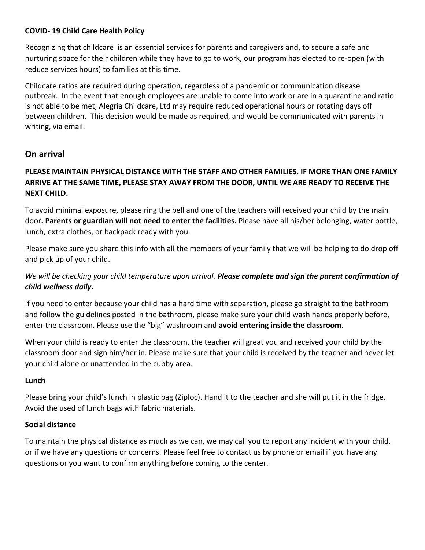## **COVID- 19 Child Care Health Policy**

Recognizing that childcare is an essential services for parents and caregivers and, to secure a safe and nurturing space for their children while they have to go to work, our program has elected to re-open (with reduce services hours) to families at this time.

Childcare ratios are required during operation, regardless of a pandemic or communication disease outbreak. In the event that enough employees are unable to come into work or are in a quarantine and ratio is not able to be met, Alegria Childcare, Ltd may require reduced operational hours or rotating days off between children. This decision would be made as required, and would be communicated with parents in writing, via email.

# **On arrival**

# **PLEASE MAINTAIN PHYSICAL DISTANCE WITH THE STAFF AND OTHER FAMILIES. IF MORE THAN ONE FAMILY ARRIVE AT THE SAME TIME, PLEASE STAY AWAY FROM THE DOOR, UNTIL WE ARE READY TO RECEIVE THE NEXT CHILD.**

To avoid minimal exposure, please ring the bell and one of the teachers will received your child by the main door**. Parents or guardian will not need to enter the facilities.** Please have all his/her belonging, water bottle, lunch, extra clothes, or backpack ready with you.

Please make sure you share this info with all the members of your family that we will be helping to do drop off and pick up of your child.

# *We will be checking your child temperature upon arrival. Please complete and sign the parent confirmation of child wellness daily.*

If you need to enter because your child has a hard time with separation, please go straight to the bathroom and follow the guidelines posted in the bathroom, please make sure your child wash hands properly before, enter the classroom. Please use the "big" washroom and **avoid entering inside the classroom**.

When your child is ready to enter the classroom, the teacher will great you and received your child by the classroom door and sign him/her in. Please make sure that your child is received by the teacher and never let your child alone or unattended in the cubby area.

### **Lunch**

Please bring your child's lunch in plastic bag (Ziploc). Hand it to the teacher and she will put it in the fridge. Avoid the used of lunch bags with fabric materials.

### **Social distance**

To maintain the physical distance as much as we can, we may call you to report any incident with your child, or if we have any questions or concerns. Please feel free to contact us by phone or email if you have any questions or you want to confirm anything before coming to the center.